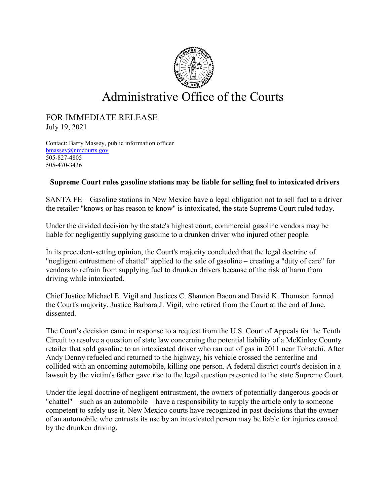

## Administrative Office of the Courts

## FOR IMMEDIATE RELEASE July 19, 2021

Contact: Barry Massey, public information officer [bmassey@nmcourts.gov](mailto:bmassey@nmcourts.gov) 505-827-4805 505-470-3436

## **Supreme Court rules gasoline stations may be liable for selling fuel to intoxicated drivers**

SANTA FE – Gasoline stations in New Mexico have a legal obligation not to sell fuel to a driver the retailer "knows or has reason to know" is intoxicated, the state Supreme Court ruled today.

Under the divided decision by the state's highest court, commercial gasoline vendors may be liable for negligently supplying gasoline to a drunken driver who injured other people.

In its precedent-setting opinion, the Court's majority concluded that the legal doctrine of "negligent entrustment of chattel" applied to the sale of gasoline – creating a "duty of care" for vendors to refrain from supplying fuel to drunken drivers because of the risk of harm from driving while intoxicated.

Chief Justice Michael E. Vigil and Justices C. Shannon Bacon and David K. Thomson formed the Court's majority. Justice Barbara J. Vigil, who retired from the Court at the end of June, dissented.

The Court's decision came in response to a request from the U.S. Court of Appeals for the Tenth Circuit to resolve a question of state law concerning the potential liability of a McKinley County retailer that sold gasoline to an intoxicated driver who ran out of gas in 2011 near Tohatchi. After Andy Denny refueled and returned to the highway, his vehicle crossed the centerline and collided with an oncoming automobile, killing one person. A federal district court's decision in a lawsuit by the victim's father gave rise to the legal question presented to the state Supreme Court.

Under the legal doctrine of negligent entrustment, the owners of potentially dangerous goods or "chattel" – such as an automobile – have a responsibility to supply the article only to someone competent to safely use it. New Mexico courts have recognized in past decisions that the owner of an automobile who entrusts its use by an intoxicated person may be liable for injuries caused by the drunken driving.